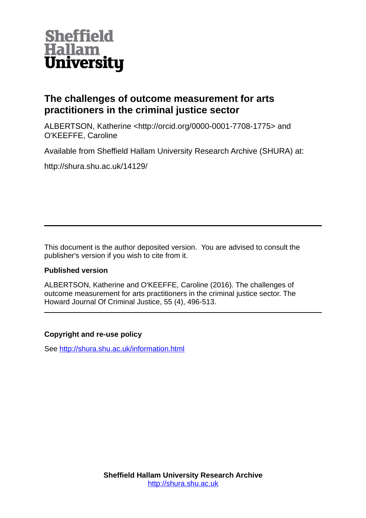

# **The challenges of outcome measurement for arts practitioners in the criminal justice sector**

ALBERTSON, Katherine <http://orcid.org/0000-0001-7708-1775> and O'KEEFFE, Caroline

Available from Sheffield Hallam University Research Archive (SHURA) at:

http://shura.shu.ac.uk/14129/

This document is the author deposited version. You are advised to consult the publisher's version if you wish to cite from it.

# **Published version**

ALBERTSON, Katherine and O'KEEFFE, Caroline (2016). The challenges of outcome measurement for arts practitioners in the criminal justice sector. The Howard Journal Of Criminal Justice, 55 (4), 496-513.

# **Copyright and re-use policy**

See<http://shura.shu.ac.uk/information.html>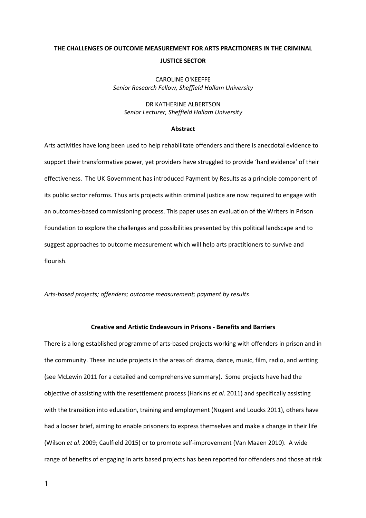# THE CHALLENGES OF OUTCOME MEASUREMENT FOR ARTS PRACITIONERS IN THE CRIMINAL JUSTICE SECTOR

CAROLINE O'KEEFFE Senior Research Fellow, Sheffield Hallam University

## DR KATHERINE ALBERTSON Senior Lecturer, Sheffield Hallam University

#### Abstract

Arts activities have long been used to help rehabilitate offenders and there is anecdotal evidence to support their transformative power, yet providers have struggled to provide 'hard evidence' of their effectiveness. The UK Government has introduced Payment by Results as a principle component of its public sector reforms. Thus arts projects within criminal justice are now required to engage with an outcomes-based commissioning process. This paper uses an evaluation of the Writers in Prison Foundation to explore the challenges and possibilities presented by this political landscape and to suggest approaches to outcome measurement which will help arts practitioners to survive and flourish.

#### Arts-based projects; offenders; outcome measurement; payment by results

### Creative and Artistic Endeavours in Prisons - Benefits and Barriers

There is a long established programme of arts-based projects working with offenders in prison and in the community. These include projects in the areas of: drama, dance, music, film, radio, and writing (see McLewin 2011 for a detailed and comprehensive summary). Some projects have had the objective of assisting with the resettlement process (Harkins et al. 2011) and specifically assisting with the transition into education, training and employment (Nugent and Loucks 2011), others have had a looser brief, aiming to enable prisoners to express themselves and make a change in their life (Wilson et al. 2009; Caulfield 2015) or to promote self-improvement (Van Maaen 2010). A wide range of benefits of engaging in arts based projects has been reported for offenders and those at risk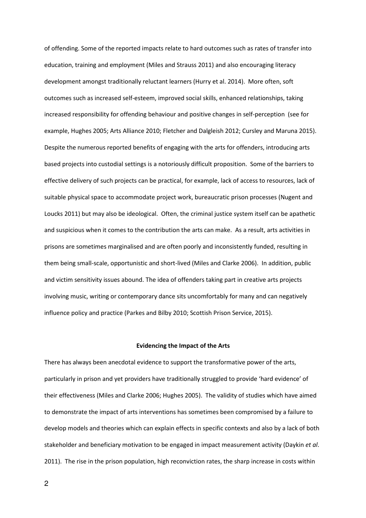of offending. Some of the reported impacts relate to hard outcomes such as rates of transfer into education, training and employment (Miles and Strauss 2011) and also encouraging literacy development amongst traditionally reluctant learners (Hurry et al. 2014). More often, soft outcomes such as increased self-esteem, improved social skills, enhanced relationships, taking increased responsibility for offending behaviour and positive changes in self-perception (see for example, Hughes 2005; Arts Alliance 2010; Fletcher and Dalgleish 2012; Cursley and Maruna 2015). Despite the numerous reported benefits of engaging with the arts for offenders, introducing arts based projects into custodial settings is a notoriously difficult proposition. Some of the barriers to effective delivery of such projects can be practical, for example, lack of access to resources, lack of suitable physical space to accommodate project work, bureaucratic prison processes (Nugent and Loucks 2011) but may also be ideological. Often, the criminal justice system itself can be apathetic and suspicious when it comes to the contribution the arts can make. As a result, arts activities in prisons are sometimes marginalised and are often poorly and inconsistently funded, resulting in them being small-scale, opportunistic and short-lived (Miles and Clarke 2006). In addition, public and victim sensitivity issues abound. The idea of offenders taking part in creative arts projects involving music, writing or contemporary dance sits uncomfortably for many and can negatively influence policy and practice (Parkes and Bilby 2010; Scottish Prison Service, 2015).

#### Evidencing the Impact of the Arts

There has always been anecdotal evidence to support the transformative power of the arts, particularly in prison and yet providers have traditionally struggled to provide 'hard evidence' of their effectiveness (Miles and Clarke 2006; Hughes 2005). The validity of studies which have aimed to demonstrate the impact of arts interventions has sometimes been compromised by a failure to develop models and theories which can explain effects in specific contexts and also by a lack of both stakeholder and beneficiary motivation to be engaged in impact measurement activity (Daykin et al. 2011). The rise in the prison population, high reconviction rates, the sharp increase in costs within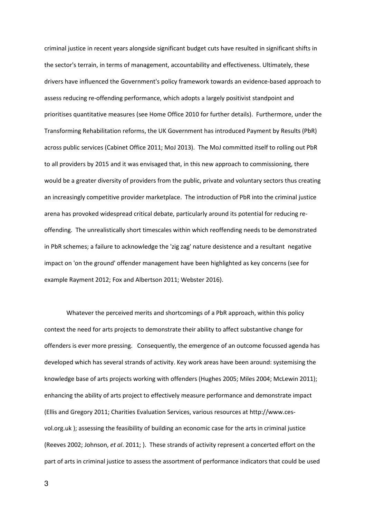criminal justice in recent years alongside significant budget cuts have resulted in significant shifts in the sector's terrain, in terms of management, accountability and effectiveness. Ultimately, these drivers have influenced the Government's policy framework towards an evidence-based approach to assess reducing re-offending performance, which adopts a largely positivist standpoint and prioritises quantitative measures (see Home Office 2010 for further details). Furthermore, under the Transforming Rehabilitation reforms, the UK Government has introduced Payment by Results (PbR) across public services (Cabinet Office 2011; MoJ 2013). The MoJ committed itself to rolling out PbR to all providers by 2015 and it was envisaged that, in this new approach to commissioning, there would be a greater diversity of providers from the public, private and voluntary sectors thus creating an increasingly competitive provider marketplace. The introduction of PbR into the criminal justice arena has provoked widespread critical debate, particularly around its potential for reducing reoffending. The unrealistically short timescales within which reoffending needs to be demonstrated in PbR schemes; a failure to acknowledge the 'zig zag' nature desistence and a resultant negative impact on 'on the ground' offender management have been highlighted as key concerns (see for example Rayment 2012; Fox and Albertson 2011; Webster 2016).

 Whatever the perceived merits and shortcomings of a PbR approach, within this policy context the need for arts projects to demonstrate their ability to affect substantive change for offenders is ever more pressing. Consequently, the emergence of an outcome focussed agenda has developed which has several strands of activity. Key work areas have been around: systemising the knowledge base of arts projects working with offenders (Hughes 2005; Miles 2004; McLewin 2011); enhancing the ability of arts project to effectively measure performance and demonstrate impact (Ellis and Gregory 2011; Charities Evaluation Services, various resources at http://www.cesvol.org.uk ); assessing the feasibility of building an economic case for the arts in criminal justice (Reeves 2002; Johnson, et al. 2011; ). These strands of activity represent a concerted effort on the part of arts in criminal justice to assess the assortment of performance indicators that could be used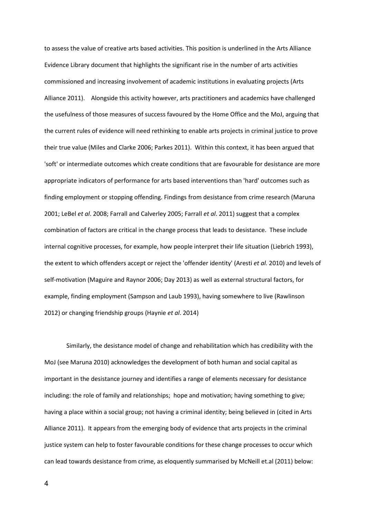to assess the value of creative arts based activities. This position is underlined in the Arts Alliance Evidence Library document that highlights the significant rise in the number of arts activities commissioned and increasing involvement of academic institutions in evaluating projects (Arts Alliance 2011). Alongside this activity however, arts practitioners and academics have challenged the usefulness of those measures of success favoured by the Home Office and the MoJ, arguing that the current rules of evidence will need rethinking to enable arts projects in criminal justice to prove their true value (Miles and Clarke 2006; Parkes 2011). Within this context, it has been argued that 'soft' or intermediate outcomes which create conditions that are favourable for desistance are more appropriate indicators of performance for arts based interventions than 'hard' outcomes such as finding employment or stopping offending. Findings from desistance from crime research (Maruna 2001; LeBel et al. 2008; Farrall and Calverley 2005; Farrall et al. 2011) suggest that a complex combination of factors are critical in the change process that leads to desistance. These include internal cognitive processes, for example, how people interpret their life situation (Liebrich 1993), the extent to which offenders accept or reject the 'offender identity' (Aresti et al. 2010) and levels of self-motivation (Maguire and Raynor 2006; Day 2013) as well as external structural factors, for example, finding employment (Sampson and Laub 1993), having somewhere to live (Rawlinson 2012) or changing friendship groups (Haynie et al. 2014)

 Similarly, the desistance model of change and rehabilitation which has credibility with the MoJ (see Maruna 2010) acknowledges the development of both human and social capital as important in the desistance journey and identifies a range of elements necessary for desistance including: the role of family and relationships; hope and motivation; having something to give; having a place within a social group; not having a criminal identity; being believed in (cited in Arts Alliance 2011). It appears from the emerging body of evidence that arts projects in the criminal justice system can help to foster favourable conditions for these change processes to occur which can lead towards desistance from crime, as eloquently summarised by McNeill et.al (2011) below: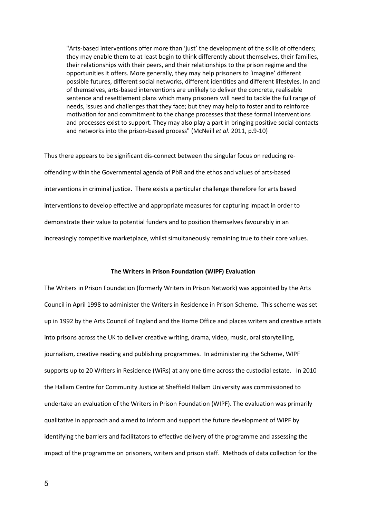"Arts-based interventions offer more than 'just' the development of the skills of offenders; they may enable them to at least begin to think differently about themselves, their families, their relationships with their peers, and their relationships to the prison regime and the opportunities it offers. More generally, they may help prisoners to 'imagine' different possible futures, different social networks, different identities and different lifestyles. In and of themselves, arts-based interventions are unlikely to deliver the concrete, realisable sentence and resettlement plans which many prisoners will need to tackle the full range of needs, issues and challenges that they face; but they may help to foster and to reinforce motivation for and commitment to the change processes that these formal interventions and processes exist to support. They may also play a part in bringing positive social contacts and networks into the prison-based process" (McNeill et al. 2011, p.9-10)

Thus there appears to be significant dis-connect between the singular focus on reducing reoffending within the Governmental agenda of PbR and the ethos and values of arts-based interventions in criminal justice. There exists a particular challenge therefore for arts based interventions to develop effective and appropriate measures for capturing impact in order to demonstrate their value to potential funders and to position themselves favourably in an increasingly competitive marketplace, whilst simultaneously remaining true to their core values.

#### The Writers in Prison Foundation (WIPF) Evaluation

The Writers in Prison Foundation (formerly Writers in Prison Network) was appointed by the Arts Council in April 1998 to administer the Writers in Residence in Prison Scheme. This scheme was set up in 1992 by the Arts Council of England and the Home Office and places writers and creative artists into prisons across the UK to deliver creative writing, drama, video, music, oral storytelling, journalism, creative reading and publishing programmes. In administering the Scheme, WIPF supports up to 20 Writers in Residence (WiRs) at any one time across the custodial estate. In 2010 the Hallam Centre for Community Justice at Sheffield Hallam University was commissioned to undertake an evaluation of the Writers in Prison Foundation (WIPF). The evaluation was primarily qualitative in approach and aimed to inform and support the future development of WIPF by identifying the barriers and facilitators to effective delivery of the programme and assessing the impact of the programme on prisoners, writers and prison staff. Methods of data collection for the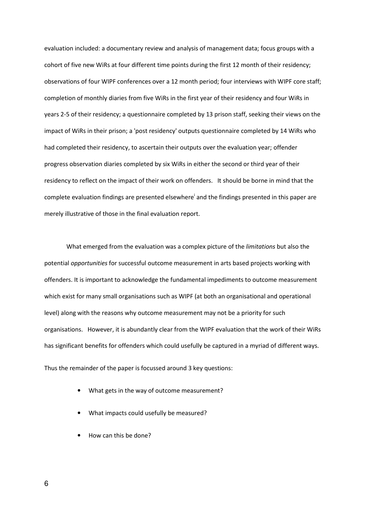evaluation included: a documentary review and analysis of management data; focus groups with a cohort of five new WiRs at four different time points during the first 12 month of their residency; observations of four WIPF conferences over a 12 month period; four interviews with WIPF core staff; completion of monthly diaries from five WiRs in the first year of their residency and four WiRs in years 2-5 of their residency; a questionnaire completed by 13 prison staff, seeking their views on the impact of WiRs in their prison; a 'post residency' outputs questionnaire completed by 14 WiRs who had completed their residency, to ascertain their outputs over the evaluation year; offender progress observation diaries completed by six WiRs in either the second or third year of their residency to reflect on the impact of their work on offenders. It should be borne in mind that the complete evaluation findings are presented elsewhere<sup>i</sup> and the findings presented in this paper are merely illustrative of those in the final evaluation report.

What emerged from the evaluation was a complex picture of the *limitations* but also the potential opportunities for successful outcome measurement in arts based projects working with offenders. It is important to acknowledge the fundamental impediments to outcome measurement which exist for many small organisations such as WIPF (at both an organisational and operational level) along with the reasons why outcome measurement may not be a priority for such organisations. However, it is abundantly clear from the WIPF evaluation that the work of their WiRs has significant benefits for offenders which could usefully be captured in a myriad of different ways.

Thus the remainder of the paper is focussed around 3 key questions:

- What gets in the way of outcome measurement?
- What impacts could usefully be measured?
- How can this be done?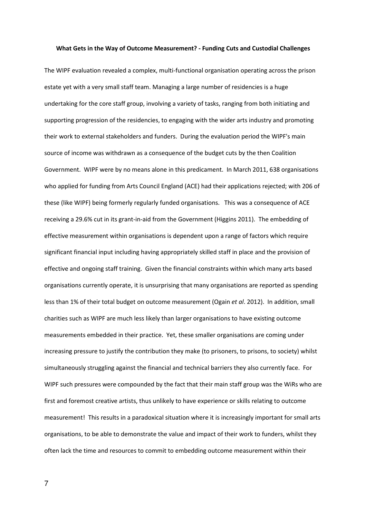#### What Gets in the Way of Outcome Measurement? - Funding Cuts and Custodial Challenges

The WIPF evaluation revealed a complex, multi-functional organisation operating across the prison estate yet with a very small staff team. Managing a large number of residencies is a huge undertaking for the core staff group, involving a variety of tasks, ranging from both initiating and supporting progression of the residencies, to engaging with the wider arts industry and promoting their work to external stakeholders and funders. During the evaluation period the WIPF's main source of income was withdrawn as a consequence of the budget cuts by the then Coalition Government. WIPF were by no means alone in this predicament. In March 2011, 638 organisations who applied for funding from Arts Council England (ACE) had their applications rejected; with 206 of these (like WIPF) being formerly regularly funded organisations. This was a consequence of ACE receiving a 29.6% cut in its grant-in-aid from the Government (Higgins 2011). The embedding of effective measurement within organisations is dependent upon a range of factors which require significant financial input including having appropriately skilled staff in place and the provision of effective and ongoing staff training. Given the financial constraints within which many arts based organisations currently operate, it is unsurprising that many organisations are reported as spending less than 1% of their total budget on outcome measurement (Ogain et al. 2012). In addition, small charities such as WIPF are much less likely than larger organisations to have existing outcome measurements embedded in their practice. Yet, these smaller organisations are coming under increasing pressure to justify the contribution they make (to prisoners, to prisons, to society) whilst simultaneously struggling against the financial and technical barriers they also currently face. For WIPF such pressures were compounded by the fact that their main staff group was the WiRs who are first and foremost creative artists, thus unlikely to have experience or skills relating to outcome measurement! This results in a paradoxical situation where it is increasingly important for small arts organisations, to be able to demonstrate the value and impact of their work to funders, whilst they often lack the time and resources to commit to embedding outcome measurement within their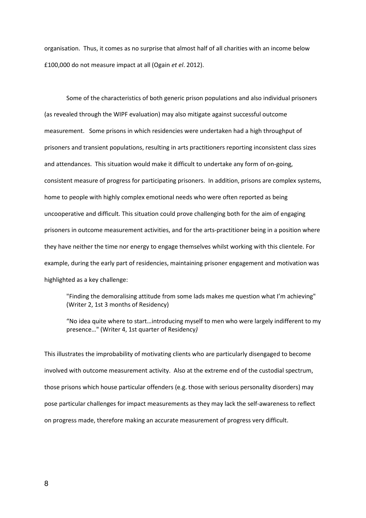organisation. Thus, it comes as no surprise that almost half of all charities with an income below £100,000 do not measure impact at all (Ogain et el. 2012).

 Some of the characteristics of both generic prison populations and also individual prisoners (as revealed through the WIPF evaluation) may also mitigate against successful outcome measurement. Some prisons in which residencies were undertaken had a high throughput of prisoners and transient populations, resulting in arts practitioners reporting inconsistent class sizes and attendances. This situation would make it difficult to undertake any form of on-going, consistent measure of progress for participating prisoners. In addition, prisons are complex systems, home to people with highly complex emotional needs who were often reported as being uncooperative and difficult. This situation could prove challenging both for the aim of engaging prisoners in outcome measurement activities, and for the arts-practitioner being in a position where they have neither the time nor energy to engage themselves whilst working with this clientele. For example, during the early part of residencies, maintaining prisoner engagement and motivation was highlighted as a key challenge:

"Finding the demoralising attitude from some lads makes me question what I'm achieving" (Writer 2, 1st 3 months of Residency)

"No idea quite where to start…introducing myself to men who were largely indifferent to my presence…" (Writer 4, 1st quarter of Residency)

This illustrates the improbability of motivating clients who are particularly disengaged to become involved with outcome measurement activity. Also at the extreme end of the custodial spectrum, those prisons which house particular offenders (e.g. those with serious personality disorders) may pose particular challenges for impact measurements as they may lack the self-awareness to reflect on progress made, therefore making an accurate measurement of progress very difficult.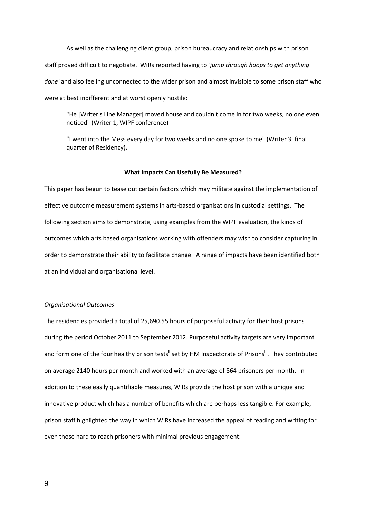As well as the challenging client group, prison bureaucracy and relationships with prison staff proved difficult to negotiate. WiRs reported having to 'jump through hoops to get anything done' and also feeling unconnected to the wider prison and almost invisible to some prison staff who were at best indifferent and at worst openly hostile:

"He [Writer's Line Manager] moved house and couldn't come in for two weeks, no one even noticed" (Writer 1, WIPF conference)

"I went into the Mess every day for two weeks and no one spoke to me" (Writer 3, final quarter of Residency).

#### What Impacts Can Usefully Be Measured?

This paper has begun to tease out certain factors which may militate against the implementation of effective outcome measurement systems in arts-based organisations in custodial settings. The following section aims to demonstrate, using examples from the WIPF evaluation, the kinds of outcomes which arts based organisations working with offenders may wish to consider capturing in order to demonstrate their ability to facilitate change. A range of impacts have been identified both at an individual and organisational level.

#### Organisational Outcomes

The residencies provided a total of 25,690.55 hours of purposeful activity for their host prisons during the period October 2011 to September 2012. Purposeful activity targets are very important and form one of the four healthy prison tests" set by HM Inspectorate of Prisons". They contributed on average 2140 hours per month and worked with an average of 864 prisoners per month. In addition to these easily quantifiable measures, WiRs provide the host prison with a unique and innovative product which has a number of benefits which are perhaps less tangible. For example, prison staff highlighted the way in which WiRs have increased the appeal of reading and writing for even those hard to reach prisoners with minimal previous engagement: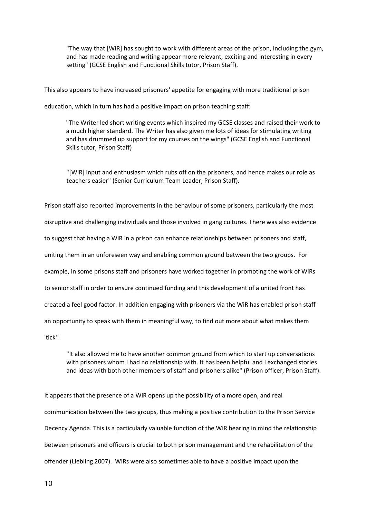"The way that [WiR] has sought to work with different areas of the prison, including the gym, and has made reading and writing appear more relevant, exciting and interesting in every setting" (GCSE English and Functional Skills tutor, Prison Staff).

This also appears to have increased prisoners' appetite for engaging with more traditional prison

education, which in turn has had a positive impact on prison teaching staff:

"The Writer led short writing events which inspired my GCSE classes and raised their work to a much higher standard. The Writer has also given me lots of ideas for stimulating writing and has drummed up support for my courses on the wings" (GCSE English and Functional Skills tutor, Prison Staff)

"[WiR] input and enthusiasm which rubs off on the prisoners, and hence makes our role as teachers easier" (Senior Curriculum Team Leader, Prison Staff).

Prison staff also reported improvements in the behaviour of some prisoners, particularly the most disruptive and challenging individuals and those involved in gang cultures. There was also evidence to suggest that having a WiR in a prison can enhance relationships between prisoners and staff, uniting them in an unforeseen way and enabling common ground between the two groups. For example, in some prisons staff and prisoners have worked together in promoting the work of WiRs to senior staff in order to ensure continued funding and this development of a united front has created a feel good factor. In addition engaging with prisoners via the WiR has enabled prison staff an opportunity to speak with them in meaningful way, to find out more about what makes them 'tick':

"It also allowed me to have another common ground from which to start up conversations with prisoners whom I had no relationship with. It has been helpful and I exchanged stories and ideas with both other members of staff and prisoners alike" (Prison officer, Prison Staff).

It appears that the presence of a WiR opens up the possibility of a more open, and real communication between the two groups, thus making a positive contribution to the Prison Service Decency Agenda. This is a particularly valuable function of the WiR bearing in mind the relationship between prisoners and officers is crucial to both prison management and the rehabilitation of the offender (Liebling 2007). WiRs were also sometimes able to have a positive impact upon the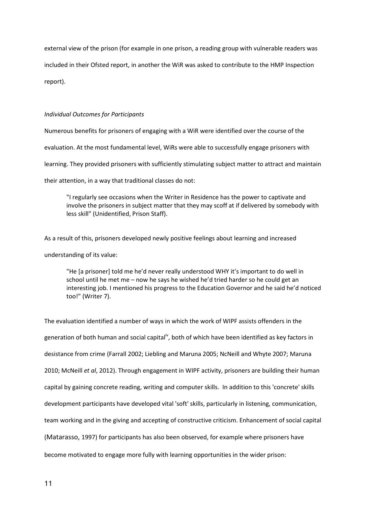external view of the prison (for example in one prison, a reading group with vulnerable readers was included in their Ofsted report, in another the WiR was asked to contribute to the HMP Inspection report).

## Individual Outcomes for Participants

Numerous benefits for prisoners of engaging with a WiR were identified over the course of the evaluation. At the most fundamental level, WiRs were able to successfully engage prisoners with learning. They provided prisoners with sufficiently stimulating subject matter to attract and maintain their attention, in a way that traditional classes do not:

"I regularly see occasions when the Writer in Residence has the power to captivate and involve the prisoners in subject matter that they may scoff at if delivered by somebody with less skill" (Unidentified, Prison Staff).

As a result of this, prisoners developed newly positive feelings about learning and increased understanding of its value:

"He [a prisoner] told me he'd never really understood WHY it's important to do well in school until he met me – now he says he wished he'd tried harder so he could get an interesting job. I mentioned his progress to the Education Governor and he said he'd noticed too!" (Writer 7).

The evaluation identified a number of ways in which the work of WIPF assists offenders in the generation of both human and social capital<sup>iv</sup>, both of which have been identified as key factors in desistance from crime (Farrall 2002; Liebling and Maruna 2005; NcNeill and Whyte 2007; Maruna 2010; McNeill et al, 2012). Through engagement in WIPF activity, prisoners are building their human capital by gaining concrete reading, writing and computer skills. In addition to this 'concrete' skills development participants have developed vital 'soft' skills, particularly in listening, communication, team working and in the giving and accepting of constructive criticism. Enhancement of social capital (Matarasso, 1997) for participants has also been observed, for example where prisoners have become motivated to engage more fully with learning opportunities in the wider prison: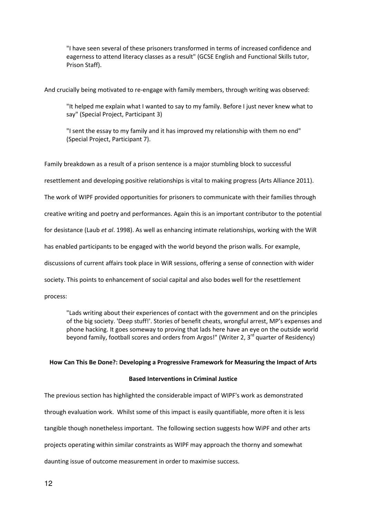"I have seen several of these prisoners transformed in terms of increased confidence and eagerness to attend literacy classes as a result" (GCSE English and Functional Skills tutor, Prison Staff).

And crucially being motivated to re-engage with family members, through writing was observed:

"It helped me explain what I wanted to say to my family. Before I just never knew what to say" (Special Project, Participant 3)

"I sent the essay to my family and it has improved my relationship with them no end" (Special Project, Participant 7).

Family breakdown as a result of a prison sentence is a major stumbling block to successful resettlement and developing positive relationships is vital to making progress (Arts Alliance 2011). The work of WIPF provided opportunities for prisoners to communicate with their families through creative writing and poetry and performances. Again this is an important contributor to the potential for desistance (Laub et al. 1998). As well as enhancing intimate relationships, working with the WiR has enabled participants to be engaged with the world beyond the prison walls. For example, discussions of current affairs took place in WiR sessions, offering a sense of connection with wider society. This points to enhancement of social capital and also bodes well for the resettlement process:

"Lads writing about their experiences of contact with the government and on the principles of the big society. 'Deep stuff!'. Stories of benefit cheats, wrongful arrest, MP's expenses and phone hacking. It goes someway to proving that lads here have an eye on the outside world beyond family, football scores and orders from Argos!" (Writer 2,  $3<sup>rd</sup>$  quarter of Residency)

#### How Can This Be Done?: Developing a Progressive Framework for Measuring the Impact of Arts

#### Based Interventions in Criminal Justice

The previous section has highlighted the considerable impact of WIPF's work as demonstrated through evaluation work. Whilst some of this impact is easily quantifiable, more often it is less tangible though nonetheless important. The following section suggests how WiPF and other arts projects operating within similar constraints as WIPF may approach the thorny and somewhat daunting issue of outcome measurement in order to maximise success.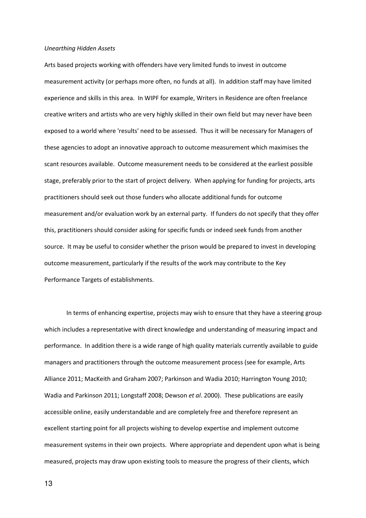#### Unearthing Hidden Assets

Arts based projects working with offenders have very limited funds to invest in outcome measurement activity (or perhaps more often, no funds at all). In addition staff may have limited experience and skills in this area. In WIPF for example, Writers in Residence are often freelance creative writers and artists who are very highly skilled in their own field but may never have been exposed to a world where 'results' need to be assessed. Thus it will be necessary for Managers of these agencies to adopt an innovative approach to outcome measurement which maximises the scant resources available. Outcome measurement needs to be considered at the earliest possible stage, preferably prior to the start of project delivery. When applying for funding for projects, arts practitioners should seek out those funders who allocate additional funds for outcome measurement and/or evaluation work by an external party. If funders do not specify that they offer this, practitioners should consider asking for specific funds or indeed seek funds from another source. It may be useful to consider whether the prison would be prepared to invest in developing outcome measurement, particularly if the results of the work may contribute to the Key Performance Targets of establishments.

 In terms of enhancing expertise, projects may wish to ensure that they have a steering group which includes a representative with direct knowledge and understanding of measuring impact and performance. In addition there is a wide range of high quality materials currently available to guide managers and practitioners through the outcome measurement process (see for example, Arts Alliance 2011; MacKeith and Graham 2007; Parkinson and Wadia 2010; Harrington Young 2010; Wadia and Parkinson 2011; Longstaff 2008; Dewson et al. 2000). These publications are easily accessible online, easily understandable and are completely free and therefore represent an excellent starting point for all projects wishing to develop expertise and implement outcome measurement systems in their own projects. Where appropriate and dependent upon what is being measured, projects may draw upon existing tools to measure the progress of their clients, which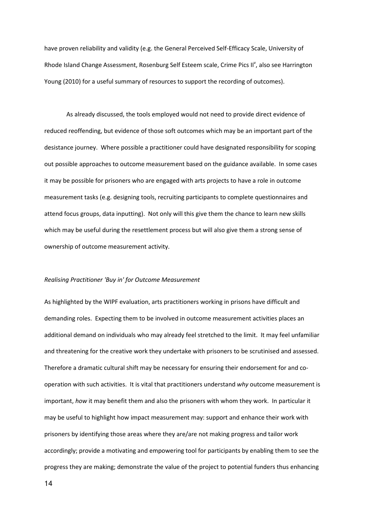have proven reliability and validity (e.g. the General Perceived Self-Efficacy Scale, University of Rhode Island Change Assessment, Rosenburg Self Esteem scale, Crime Pics II<sup>v</sup>, also see Harrington Young (2010) for a useful summary of resources to support the recording of outcomes).

 As already discussed, the tools employed would not need to provide direct evidence of reduced reoffending, but evidence of those soft outcomes which may be an important part of the desistance journey. Where possible a practitioner could have designated responsibility for scoping out possible approaches to outcome measurement based on the guidance available. In some cases it may be possible for prisoners who are engaged with arts projects to have a role in outcome measurement tasks (e.g. designing tools, recruiting participants to complete questionnaires and attend focus groups, data inputting). Not only will this give them the chance to learn new skills which may be useful during the resettlement process but will also give them a strong sense of ownership of outcome measurement activity.

#### Realising Practitioner 'Buy in' for Outcome Measurement

As highlighted by the WIPF evaluation, arts practitioners working in prisons have difficult and demanding roles. Expecting them to be involved in outcome measurement activities places an additional demand on individuals who may already feel stretched to the limit. It may feel unfamiliar and threatening for the creative work they undertake with prisoners to be scrutinised and assessed. Therefore a dramatic cultural shift may be necessary for ensuring their endorsement for and cooperation with such activities. It is vital that practitioners understand why outcome measurement is important, how it may benefit them and also the prisoners with whom they work. In particular it may be useful to highlight how impact measurement may: support and enhance their work with prisoners by identifying those areas where they are/are not making progress and tailor work accordingly; provide a motivating and empowering tool for participants by enabling them to see the progress they are making; demonstrate the value of the project to potential funders thus enhancing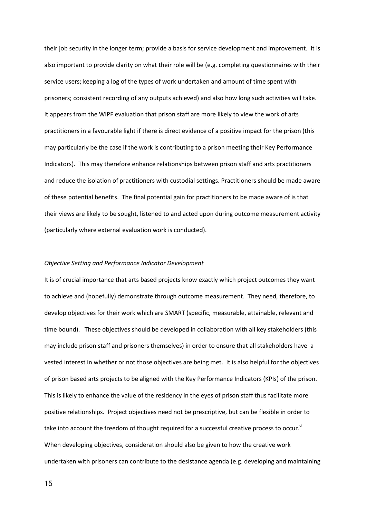their job security in the longer term; provide a basis for service development and improvement. It is also important to provide clarity on what their role will be (e.g. completing questionnaires with their service users; keeping a log of the types of work undertaken and amount of time spent with prisoners; consistent recording of any outputs achieved) and also how long such activities will take. It appears from the WIPF evaluation that prison staff are more likely to view the work of arts practitioners in a favourable light if there is direct evidence of a positive impact for the prison (this may particularly be the case if the work is contributing to a prison meeting their Key Performance Indicators). This may therefore enhance relationships between prison staff and arts practitioners and reduce the isolation of practitioners with custodial settings. Practitioners should be made aware of these potential benefits. The final potential gain for practitioners to be made aware of is that their views are likely to be sought, listened to and acted upon during outcome measurement activity (particularly where external evaluation work is conducted).

#### Objective Setting and Performance Indicator Development

It is of crucial importance that arts based projects know exactly which project outcomes they want to achieve and (hopefully) demonstrate through outcome measurement. They need, therefore, to develop objectives for their work which are SMART (specific, measurable, attainable, relevant and time bound). These objectives should be developed in collaboration with all key stakeholders (this may include prison staff and prisoners themselves) in order to ensure that all stakeholders have a vested interest in whether or not those objectives are being met. It is also helpful for the objectives of prison based arts projects to be aligned with the Key Performance Indicators (KPIs) of the prison. This is likely to enhance the value of the residency in the eyes of prison staff thus facilitate more positive relationships. Project objectives need not be prescriptive, but can be flexible in order to take into account the freedom of thought required for a successful creative process to occur. $^{\text{vi}}$ When developing objectives, consideration should also be given to how the creative work undertaken with prisoners can contribute to the desistance agenda (e.g. developing and maintaining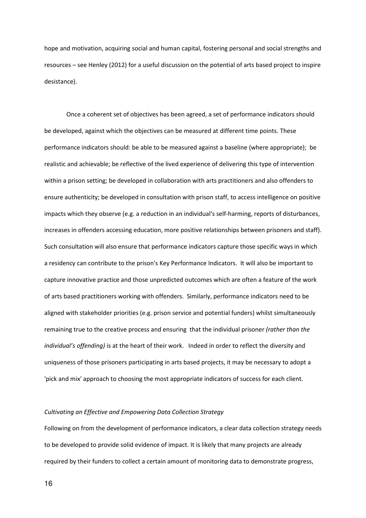hope and motivation, acquiring social and human capital, fostering personal and social strengths and resources – see Henley (2012) for a useful discussion on the potential of arts based project to inspire desistance).

 Once a coherent set of objectives has been agreed, a set of performance indicators should be developed, against which the objectives can be measured at different time points. These performance indicators should: be able to be measured against a baseline (where appropriate); be realistic and achievable; be reflective of the lived experience of delivering this type of intervention within a prison setting; be developed in collaboration with arts practitioners and also offenders to ensure authenticity; be developed in consultation with prison staff, to access intelligence on positive impacts which they observe (e.g. a reduction in an individual's self-harming, reports of disturbances, increases in offenders accessing education, more positive relationships between prisoners and staff). Such consultation will also ensure that performance indicators capture those specific ways in which a residency can contribute to the prison's Key Performance Indicators. It will also be important to capture innovative practice and those unpredicted outcomes which are often a feature of the work of arts based practitioners working with offenders. Similarly, performance indicators need to be aligned with stakeholder priorities (e.g. prison service and potential funders) whilst simultaneously remaining true to the creative process and ensuring that the individual prisoner (rather than the individual's offending) is at the heart of their work. Indeed in order to reflect the diversity and uniqueness of those prisoners participating in arts based projects, it may be necessary to adopt a 'pick and mix' approach to choosing the most appropriate indicators of success for each client.

#### Cultivating an Effective and Empowering Data Collection Strategy

Following on from the development of performance indicators, a clear data collection strategy needs to be developed to provide solid evidence of impact. It is likely that many projects are already required by their funders to collect a certain amount of monitoring data to demonstrate progress,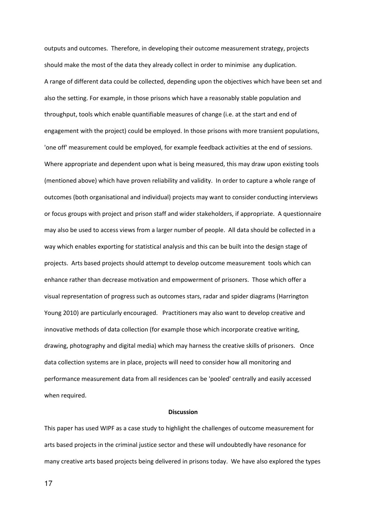outputs and outcomes. Therefore, in developing their outcome measurement strategy, projects should make the most of the data they already collect in order to minimise any duplication. A range of different data could be collected, depending upon the objectives which have been set and also the setting. For example, in those prisons which have a reasonably stable population and throughput, tools which enable quantifiable measures of change (i.e. at the start and end of engagement with the project) could be employed. In those prisons with more transient populations, 'one off' measurement could be employed, for example feedback activities at the end of sessions. Where appropriate and dependent upon what is being measured, this may draw upon existing tools (mentioned above) which have proven reliability and validity. In order to capture a whole range of outcomes (both organisational and individual) projects may want to consider conducting interviews or focus groups with project and prison staff and wider stakeholders, if appropriate. A questionnaire may also be used to access views from a larger number of people. All data should be collected in a way which enables exporting for statistical analysis and this can be built into the design stage of projects. Arts based projects should attempt to develop outcome measurement tools which can enhance rather than decrease motivation and empowerment of prisoners. Those which offer a visual representation of progress such as outcomes stars, radar and spider diagrams (Harrington Young 2010) are particularly encouraged. Practitioners may also want to develop creative and innovative methods of data collection (for example those which incorporate creative writing, drawing, photography and digital media) which may harness the creative skills of prisoners. Once data collection systems are in place, projects will need to consider how all monitoring and performance measurement data from all residences can be 'pooled' centrally and easily accessed when required.

#### **Discussion**

This paper has used WIPF as a case study to highlight the challenges of outcome measurement for arts based projects in the criminal justice sector and these will undoubtedly have resonance for many creative arts based projects being delivered in prisons today. We have also explored the types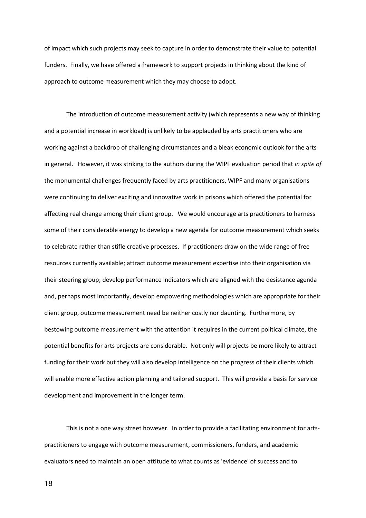of impact which such projects may seek to capture in order to demonstrate their value to potential funders. Finally, we have offered a framework to support projects in thinking about the kind of approach to outcome measurement which they may choose to adopt.

 The introduction of outcome measurement activity (which represents a new way of thinking and a potential increase in workload) is unlikely to be applauded by arts practitioners who are working against a backdrop of challenging circumstances and a bleak economic outlook for the arts in general. However, it was striking to the authors during the WIPF evaluation period that in spite of the monumental challenges frequently faced by arts practitioners, WIPF and many organisations were continuing to deliver exciting and innovative work in prisons which offered the potential for affecting real change among their client group. We would encourage arts practitioners to harness some of their considerable energy to develop a new agenda for outcome measurement which seeks to celebrate rather than stifle creative processes. If practitioners draw on the wide range of free resources currently available; attract outcome measurement expertise into their organisation via their steering group; develop performance indicators which are aligned with the desistance agenda and, perhaps most importantly, develop empowering methodologies which are appropriate for their client group, outcome measurement need be neither costly nor daunting. Furthermore, by bestowing outcome measurement with the attention it requires in the current political climate, the potential benefits for arts projects are considerable. Not only will projects be more likely to attract funding for their work but they will also develop intelligence on the progress of their clients which will enable more effective action planning and tailored support. This will provide a basis for service development and improvement in the longer term.

 This is not a one way street however. In order to provide a facilitating environment for artspractitioners to engage with outcome measurement, commissioners, funders, and academic evaluators need to maintain an open attitude to what counts as 'evidence' of success and to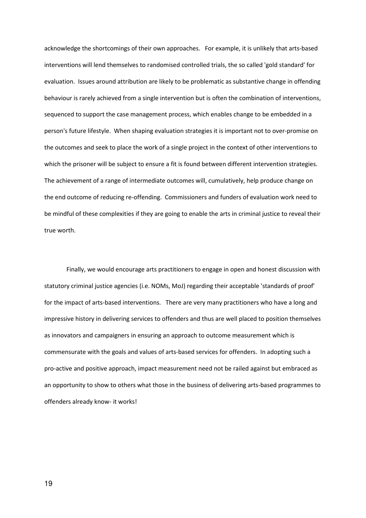acknowledge the shortcomings of their own approaches. For example, it is unlikely that arts-based interventions will lend themselves to randomised controlled trials, the so called 'gold standard' for evaluation. Issues around attribution are likely to be problematic as substantive change in offending behaviour is rarely achieved from a single intervention but is often the combination of interventions, sequenced to support the case management process, which enables change to be embedded in a person's future lifestyle. When shaping evaluation strategies it is important not to over-promise on the outcomes and seek to place the work of a single project in the context of other interventions to which the prisoner will be subject to ensure a fit is found between different intervention strategies. The achievement of a range of intermediate outcomes will, cumulatively, help produce change on the end outcome of reducing re-offending. Commissioners and funders of evaluation work need to be mindful of these complexities if they are going to enable the arts in criminal justice to reveal their true worth.

 Finally, we would encourage arts practitioners to engage in open and honest discussion with statutory criminal justice agencies (i.e. NOMs, MoJ) regarding their acceptable 'standards of proof' for the impact of arts-based interventions. There are very many practitioners who have a long and impressive history in delivering services to offenders and thus are well placed to position themselves as innovators and campaigners in ensuring an approach to outcome measurement which is commensurate with the goals and values of arts-based services for offenders. In adopting such a pro-active and positive approach, impact measurement need not be railed against but embraced as an opportunity to show to others what those in the business of delivering arts-based programmes to offenders already know- it works!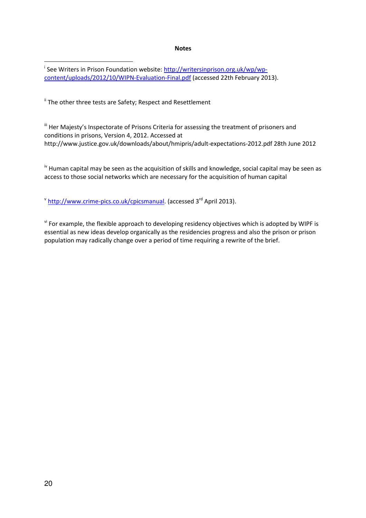#### **Notes**

<sup>i</sup> See Writers in Prison Foundation website: **http://writersinprison.org.uk/wp/wp**content/uploads/2012/10/WIPN-Evaluation-Final.pdf (accessed 22th February 2013).

<sup>ii</sup> The other three tests are Safety; Respect and Resettlement

III Her Majesty's Inspectorate of Prisons Criteria for assessing the treatment of prisoners and conditions in prisons, Version 4, 2012. Accessed at http://www.justice.gov.uk/downloads/about/hmipris/adult-expectations-2012.pdf 28th June 2012

<sup>iv</sup> Human capital may be seen as the acquisition of skills and knowledge, social capital may be seen as access to those social networks which are necessary for the acquisition of human capital

<sup>v</sup> http://www.crime-pics.co.uk/cpicsmanual. (accessed 3<sup>rd</sup> April 2013).

v<sup>i</sup> For example, the flexible approach to developing residency objectives which is adopted by WIPF is essential as new ideas develop organically as the residencies progress and also the prison or prison population may radically change over a period of time requiring a rewrite of the brief.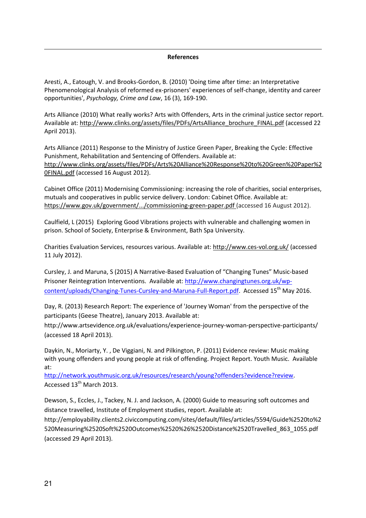## References

Aresti, A., Eatough, V. and Brooks-Gordon, B. (2010) 'Doing time after time: an Interpretative Phenomenological Analysis of reformed ex-prisoners' experiences of self-change, identity and career opportunities', Psychology, Crime and Law, 16 (3), 169-190.

Arts Alliance (2010) What really works? Arts with Offenders, Arts in the criminal justice sector report. Available at: http://www.clinks.org/assets/files/PDFs/ArtsAlliance\_brochure\_FINAL.pdf (accessed 22 April 2013).

Arts Alliance (2011) Response to the Ministry of Justice Green Paper, Breaking the Cycle: Effective Punishment, Rehabilitation and Sentencing of Offenders. Available at: http://www.clinks.org/assets/files/PDFs/Arts%20Alliance%20Response%20to%20Green%20Paper%2 0FINAL.pdf (accessed 16 August 2012).

Cabinet Office (2011) Modernising Commissioning: increasing the role of charities, social enterprises, mutuals and cooperatives in public service delivery. London: Cabinet Office. Available at: https://www.gov.uk/government/.../commissioning-green-paper.pdf (accessed 16 August 2012).

Caulfield, L (2015) Exploring Good Vibrations projects with vulnerable and challenging women in prison. School of Society, Enterprise & Environment, Bath Spa University.

Charities Evaluation Services, resources various. Available at: http://www.ces-vol.org.uk/ (accessed 11 July 2012).

Cursley, J. and Maruna, S (2015) A Narrative-Based Evaluation of "Changing Tunes" Music-based Prisoner Reintegration Interventions. Available at: http://www.changingtunes.org.uk/wpcontent/uploads/Changing-Tunes-Cursley-and-Maruna-Full-Report.pdf. Accessed 15<sup>th</sup> May 2016.

Day, R. (2013) Research Report: The experience of 'Journey Woman' from the perspective of the participants (Geese Theatre), January 2013. Available at:

http://www.artsevidence.org.uk/evaluations/experience-journey-woman-perspective-participants/ (accessed 18 April 2013).

Daykin, N., Moriarty, Y. , De Viggiani, N. and Pilkington, P. (2011) Evidence review: Music making with young offenders and young people at risk of offending. Project Report. Youth Music. Available at:

http://network.youthmusic.org.uk/resources/research/young?offenders?evidence?review. Accessed 13<sup>th</sup> March 2013.

Dewson, S., Eccles, J., Tackey, N. J. and Jackson, A. (2000) Guide to measuring soft outcomes and distance travelled, Institute of Employment studies, report. Available at:

http://employability.clients2.civiccomputing.com/sites/default/files/articles/5594/Guide%2520to%2 520Measuring%2520Soft%2520Outcomes%2520%26%2520Distance%2520Travelled\_863\_1055.pdf (accessed 29 April 2013).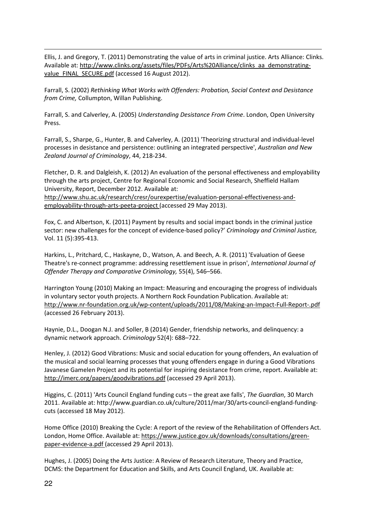Ellis, J. and Gregory, T. (2011) Demonstrating the value of arts in criminal justice. Arts Alliance: Clinks. Available at: http://www.clinks.org/assets/files/PDFs/Arts%20Alliance/clinks\_aa\_demonstratingvalue\_FINAL\_SECURE.pdf (accessed 16 August 2012).

Farrall, S. (2002) Rethinking What Works with Offenders: Probation, Social Context and Desistance from Crime, Collumpton, Willan Publishing.

Farrall, S. and Calverley, A. (2005) Understanding Desistance From Crime. London, Open University Press.

Farrall, S., Sharpe, G., Hunter, B. and Calverley, A. (2011) 'Theorizing structural and individual-level processes in desistance and persistence: outlining an integrated perspective', Australian and New Zealand Journal of Criminology, 44, 218-234.

Fletcher, D. R. and Dalgleish, K. (2012) An evaluation of the personal effectiveness and employability through the arts project, Centre for Regional Economic and Social Research, Sheffield Hallam University, Report, December 2012. Available at:

http://www.shu.ac.uk/research/cresr/ourexpertise/evaluation-personal-effectiveness-andemployability-through-arts-peeta-project (accessed 29 May 2013).

Fox, C. and Albertson, K. (2011) Payment by results and social impact bonds in the criminal justice sector: new challenges for the concept of evidence-based policy?' Criminology and Criminal Justice, Vol. 11 (5):395-413.

Harkins, L., Pritchard, C., Haskayne, D., Watson, A. and Beech, A. R. (2011) 'Evaluation of Geese Theatre's re-connect programme: addressing resettlement issue in prison', International Journal of Offender Therapy and Comparative Criminology, 55(4), 546–566.

Harrington Young (2010) Making an Impact: Measuring and encouraging the progress of individuals in voluntary sector youth projects. A Northern Rock Foundation Publication. Available at: http://www.nr-foundation.org.uk/wp-content/uploads/2011/08/Making-an-Impact-Full-Report-.pdf (accessed 26 February 2013).

Haynie, D.L., Doogan N.J. and Soller, B (2014) Gender, friendship networks, and delinquency: a dynamic network approach. Criminology 52(4): 688–722.

Henley, J. (2012) Good Vibrations: Music and social education for young offenders, An evaluation of the musical and social learning processes that young offenders engage in during a Good Vibrations Javanese Gamelen Project and its potential for inspiring desistance from crime, report. Available at: http://imerc.org/papers/goodvibrations.pdf (accessed 29 April 2013).

Higgins, C. (2011) 'Arts Council England funding cuts - the great axe falls', The Guardian, 30 March 2011. Available at: http://www.guardian.co.uk/culture/2011/mar/30/arts-council-england-fundingcuts (accessed 18 May 2012).

Home Office (2010) Breaking the Cycle: A report of the review of the Rehabilitation of Offenders Act. London, Home Office. Available at: https://www.justice.gov.uk/downloads/consultations/greenpaper-evidence-a.pdf (accessed 29 April 2013).

Hughes, J. (2005) Doing the Arts Justice: A Review of Research Literature, Theory and Practice, DCMS: the Department for Education and Skills, and Arts Council England, UK. Available at: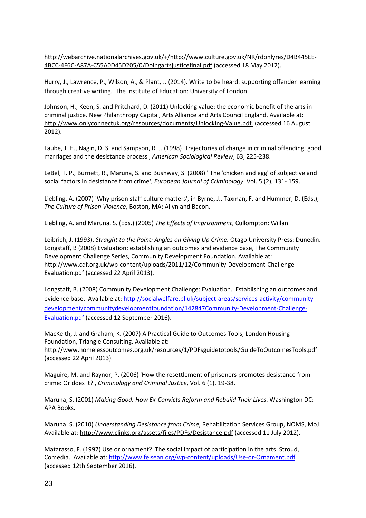http://webarchive.nationalarchives.gov.uk/+/http://www.culture.gov.uk/NR/rdonlyres/D4B445EE-4BCC-4F6C-A87A-C55A0D45D205/0/Doingartsjusticefinal.pdf (accessed 18 May 2012).

Hurry, J., Lawrence, P., Wilson, A., & Plant, J. (2014). Write to be heard: supporting offender learning through creative writing. The Institute of Education: University of London.

Johnson, H., Keen, S. and Pritchard, D. (2011) Unlocking value: the economic benefit of the arts in criminal justice. New Philanthropy Capital, Arts Alliance and Arts Council England. Available at: http://www.onlyconnectuk.org/resources/documents/Unlocking-Value.pdf. (accessed 16 August 2012).

Laube, J. H., Nagin, D. S. and Sampson, R. J. (1998) 'Trajectories of change in criminal offending: good marriages and the desistance process', American Sociological Review, 63, 225-238.

LeBel, T. P., Burnett, R., Maruna, S. and Bushway, S. (2008) ' The 'chicken and egg' of subjective and social factors in desistance from crime', European Journal of Criminology, Vol. 5 (2), 131- 159.

Liebling, A. (2007) 'Why prison staff culture matters', in Byrne, J., Taxman, F. and Hummer, D. (Eds.), The Culture of Prison Violence, Boston, MA: Allyn and Bacon.

Liebling, A. and Maruna, S. (Eds.) (2005) The Effects of Imprisonment, Cullompton: Willan.

Leibrich, J. (1993). Straight to the Point: Angles on Giving Up Crime. Otago University Press: Dunedin. Longstaff, B (2008) Evaluation: establishing an outcomes and evidence base, The Community Development Challenge Series, Community Development Foundation. Available at: http://www.cdf.org.uk/wp-content/uploads/2011/12/Community-Development-Challenge-Evaluation.pdf (accessed 22 April 2013).

Longstaff, B. (2008) Community Development Challenge: Evaluation. Establishing an outcomes and evidence base. Available at: http://socialwelfare.bl.uk/subject-areas/services-activity/communitydevelopment/communitydevelopmentfoundation/142847Community-Development-Challenge-Evaluation.pdf (accessed 12 September 2016).

MacKeith, J. and Graham, K. (2007) A Practical Guide to Outcomes Tools, London Housing Foundation, Triangle Consulting. Available at: http://www.homelessoutcomes.org.uk/resources/1/PDFsguidetotools/GuideToOutcomesTools.pdf (accessed 22 April 2013).

Maguire, M. and Raynor, P. (2006) 'How the resettlement of prisoners promotes desistance from crime: Or does it?', Criminology and Criminal Justice, Vol. 6 (1), 19-38.

Maruna, S. (2001) Making Good: How Ex-Convicts Reform and Rebuild Their Lives. Washington DC: APA Books.

Maruna. S. (2010) Understanding Desistance from Crime, Rehabilitation Services Group, NOMS, MoJ. Available at: http://www.clinks.org/assets/files/PDFs/Desistance.pdf (accessed 11 July 2012).

Matarasso, F. (1997) Use or ornament? The social impact of participation in the arts. Stroud, Comedia. Available at: http://www.feisean.org/wp-content/uploads/Use-or-Ornament.pdf (accessed 12th September 2016).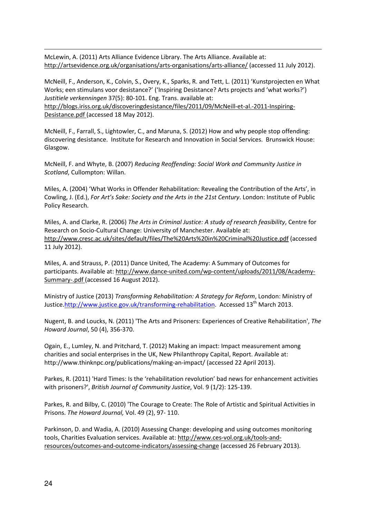McLewin, A. (2011) Arts Alliance Evidence Library. The Arts Alliance. Available at: http://artsevidence.org.uk/organisations/arts-organisations/arts-alliance/ (accessed 11 July 2012).

McNeill, F., Anderson, K., Colvin, S., Overy, K., Sparks, R. and Tett, L. (2011) 'Kunstprojecten en What Works; een stimulans voor desistance?' ('Inspiring Desistance? Arts projects and 'what works?') Justitiele verkenningen 37(5): 80-101. Eng. Trans. available at: http://blogs.iriss.org.uk/discoveringdesistance/files/2011/09/McNeill-et-al.-2011-Inspiring-Desistance.pdf (accessed 18 May 2012).

McNeill, F., Farrall, S., Lightowler, C., and Maruna, S. (2012) How and why people stop offending: discovering desistance. Institute for Research and Innovation in Social Services. Brunswick House: Glasgow.

McNeill, F. and Whyte, B. (2007) Reducing Reoffending: Social Work and Community Justice in Scotland, Cullompton: Willan.

Miles, A. (2004) 'What Works in Offender Rehabilitation: Revealing the Contribution of the Arts', in Cowling, J. (Ed.), For Art's Sake: Society and the Arts in the 21st Century. London: Institute of Public Policy Research.

Miles, A. and Clarke, R. (2006) The Arts in Criminal Justice: A study of research feasibility, Centre for Research on Socio-Cultural Change: University of Manchester. Available at: http://www.cresc.ac.uk/sites/default/files/The%20Arts%20in%20Criminal%20Justice.pdf (accessed 11 July 2012).

Miles, A. and Strauss, P. (2011) Dance United, The Academy: A Summary of Outcomes for participants. Available at: http://www.dance-united.com/wp-content/uploads/2011/08/Academy-Summary-.pdf (accessed 16 August 2012).

Ministry of Justice (2013) Transforming Rehabilitation: A Strategy for Reform, London: Ministry of Justice.http://www.justice.gov.uk/transforming-rehabilitation. Accessed 13<sup>th</sup> March 2013.

Nugent, B. and Loucks, N. (2011) 'The Arts and Prisoners: Experiences of Creative Rehabilitation', The Howard Journal, 50 (4), 356-370.

Ogain, E., Lumley, N. and Pritchard, T. (2012) Making an impact: Impact measurement among charities and social enterprises in the UK, New Philanthropy Capital, Report. Available at: http://www.thinknpc.org/publications/making-an-impact/ (accessed 22 April 2013).

Parkes, R. (2011) 'Hard Times: Is the 'rehabilitation revolution' bad news for enhancement activities with prisoners?', British Journal of Community Justice, Vol. 9 (1/2): 125-139.

Parkes, R. and Bilby, C. (2010) 'The Courage to Create: The Role of Artistic and Spiritual Activities in Prisons. The Howard Journal, Vol. 49 (2), 97- 110.

Parkinson, D. and Wadia, A. (2010) Assessing Change: developing and using outcomes monitoring tools, Charities Evaluation services. Available at: http://www.ces-vol.org.uk/tools-andresources/outcomes-and-outcome-indicators/assessing-change (accessed 26 February 2013).